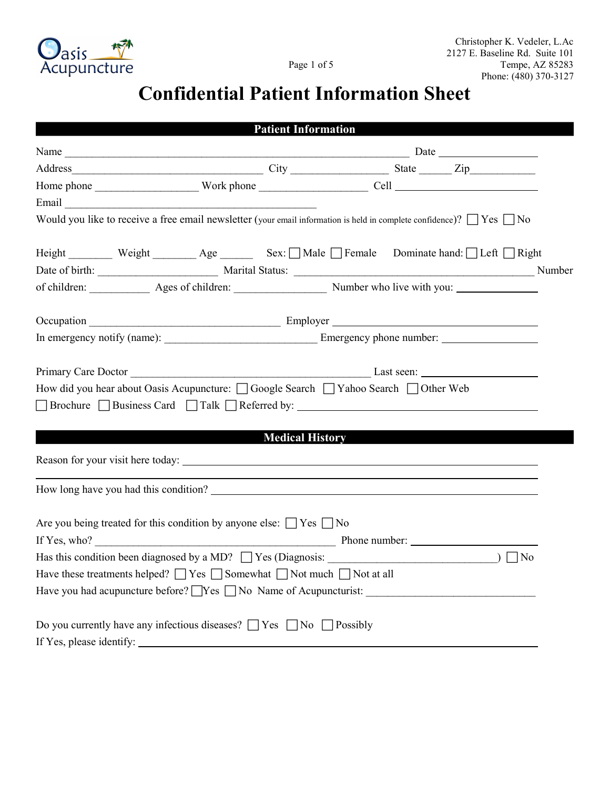

## Confidential Patient Information Sheet

|                                                                                                                                 |                        | <b>Patient Information</b> |  |  |
|---------------------------------------------------------------------------------------------------------------------------------|------------------------|----------------------------|--|--|
|                                                                                                                                 |                        |                            |  |  |
|                                                                                                                                 |                        |                            |  |  |
|                                                                                                                                 |                        |                            |  |  |
|                                                                                                                                 |                        |                            |  |  |
| Would you like to receive a free email newsletter (your email information is held in complete confidence)? $\Box$ Yes $\Box$ No |                        |                            |  |  |
| Height ________ Weight ________ Age ______ Sex: □ Male □ Female Dominate hand: □ Left □ Right                                   |                        |                            |  |  |
|                                                                                                                                 |                        |                            |  |  |
|                                                                                                                                 |                        |                            |  |  |
|                                                                                                                                 |                        |                            |  |  |
|                                                                                                                                 |                        |                            |  |  |
|                                                                                                                                 |                        |                            |  |  |
|                                                                                                                                 |                        |                            |  |  |
| How did you hear about Oasis Acupuncture: □ Google Search □ Yahoo Search □ Other Web                                            |                        |                            |  |  |
| □ Brochure □ Business Card □ Talk □ Referred by: _______________________________                                                |                        |                            |  |  |
|                                                                                                                                 |                        |                            |  |  |
|                                                                                                                                 | <b>Medical History</b> |                            |  |  |
|                                                                                                                                 |                        |                            |  |  |
|                                                                                                                                 |                        |                            |  |  |
|                                                                                                                                 |                        |                            |  |  |
| Are you being treated for this condition by anyone else: $\Box$ Yes $\Box$ No                                                   |                        |                            |  |  |
|                                                                                                                                 |                        |                            |  |  |
|                                                                                                                                 |                        |                            |  |  |
| Have these treatments helped? $\Box$ Yes $\Box$ Somewhat $\Box$ Not much $\Box$ Not at all                                      |                        |                            |  |  |
| Have you had acupuncture before? TYes TNo Name of Acupuncturist: THE MODE PRODUCED And Acupuncturist:                           |                        |                            |  |  |
| Do you currently have any infectious diseases? $\Box$ Yes $\Box$ No $\Box$ Possibly                                             |                        |                            |  |  |
|                                                                                                                                 |                        |                            |  |  |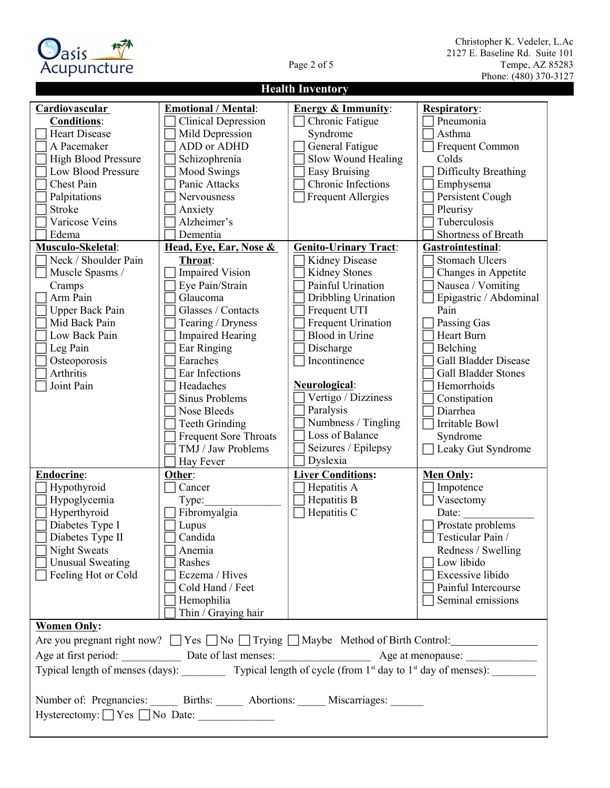

## Christopher K. Vedeler, L.Ac 2127 E. Baseline Rd. Suite 101 Page 2 of 5 Tempe, AZ 85283 Phone: (480) 370-3127

| <b>Health Inventory</b>                                                                                                       |                              |                               |                             |  |
|-------------------------------------------------------------------------------------------------------------------------------|------------------------------|-------------------------------|-----------------------------|--|
| Cardiovascular                                                                                                                | <b>Emotional / Mental:</b>   | <b>Energy &amp; Immunity:</b> | <b>Respiratory:</b>         |  |
| <b>Conditions:</b>                                                                                                            | <b>Clinical Depression</b>   | Chronic Fatigue               | Pneumonia                   |  |
| <b>Heart Disease</b>                                                                                                          | Mild Depression              | Syndrome                      | Asthma                      |  |
| A Pacemaker                                                                                                                   | ADD or ADHD                  | General Fatigue               | Frequent Common             |  |
| <b>High Blood Pressure</b>                                                                                                    | Schizophrenia                | Slow Wound Healing            | Colds                       |  |
| Low Blood Pressure                                                                                                            | Mood Swings                  | <b>Easy Bruising</b>          | Difficulty Breathing        |  |
| Chest Pain                                                                                                                    | Panic Attacks                | Chronic Infections            | Emphysema                   |  |
| Palpitations                                                                                                                  | Nervousness                  | <b>Frequent Allergies</b>     | Persistent Cough            |  |
| Stroke                                                                                                                        | Anxiety                      |                               | Pleurisy                    |  |
| Varicose Veins                                                                                                                | Alzheimer's                  |                               | Tuberculosis                |  |
| Edema                                                                                                                         | Dementia                     |                               | Shortness of Breath         |  |
| Musculo-Skeletal:                                                                                                             | Head, Eye, Ear, Nose &       | <b>Genito-Urinary Tract:</b>  | Gastrointestinal:           |  |
| Neck / Shoulder Pain                                                                                                          | Throat:                      | Kidney Disease                | <b>Stomach Ulcers</b>       |  |
| Muscle Spasms /                                                                                                               | <b>Impaired Vision</b>       | Kidney Stones                 | Changes in Appetite         |  |
| Cramps                                                                                                                        | Eye Pain/Strain              | Painful Urination             | Nausea / Vomiting           |  |
| Arm Pain                                                                                                                      | Glaucoma                     | Dribbling Urination           | Epigastric / Abdominal      |  |
| <b>Upper Back Pain</b>                                                                                                        | Glasses / Contacts           | Frequent UTI                  | Pain                        |  |
| Mid Back Pain                                                                                                                 | Tearing / Dryness            | <b>Frequent Urination</b>     | Passing Gas                 |  |
| Low Back Pain                                                                                                                 | <b>Impaired Hearing</b>      | <b>Blood</b> in Urine         | Heart Burn                  |  |
| Leg Pain                                                                                                                      | Ear Ringing                  | Discharge                     | Belching                    |  |
| Osteoporosis                                                                                                                  | Earaches                     | Incontinence                  | <b>Gall Bladder Disease</b> |  |
| Arthritis                                                                                                                     | Ear Infections               |                               | <b>Gall Bladder Stones</b>  |  |
| Joint Pain                                                                                                                    | Headaches                    | Neurological:                 | Hemorrhoids                 |  |
|                                                                                                                               | Sinus Problems               | Vertigo / Dizziness           | Constipation                |  |
|                                                                                                                               | Nose Bleeds                  | Paralysis                     | Diarrhea                    |  |
|                                                                                                                               | <b>Teeth Grinding</b>        | Numbness / Tingling           | Irritable Bowl              |  |
|                                                                                                                               | <b>Frequent Sore Throats</b> | Loss of Balance               | Syndrome                    |  |
|                                                                                                                               | TMJ / Jaw Problems           | Seizures / Epilepsy           | Leaky Gut Syndrome          |  |
|                                                                                                                               | Hay Fever                    | Dyslexia                      |                             |  |
| <b>Endocrine:</b>                                                                                                             | Other:                       | <b>Liver Conditions:</b>      | <b>Men Only:</b>            |  |
| Hypothyroid                                                                                                                   | Cancer                       | Hepatitis A                   | Impotence                   |  |
| Hypoglycemia                                                                                                                  | Type:                        | Hepatitis B                   | Vasectomy                   |  |
| Hyperthyroid                                                                                                                  | Fibromyalgia                 | Hepatitis C                   | Date:                       |  |
| Diabetes Type I                                                                                                               | Lupus                        |                               | Prostate problems           |  |
| Diabetes Type II                                                                                                              | Candida                      |                               | Testicular Pain /           |  |
| <b>Night Sweats</b>                                                                                                           | Anemia                       |                               | Redness / Swelling          |  |
| <b>Unusual Sweating</b>                                                                                                       | Rashes                       |                               | Low libido                  |  |
| Feeling Hot or Cold                                                                                                           | Eczema / Hives               |                               | Excessive libido            |  |
|                                                                                                                               | Cold Hand / Feet             |                               | Painful Intercourse         |  |
|                                                                                                                               |                              |                               |                             |  |
|                                                                                                                               | Hemophilia                   |                               | Seminal emissions           |  |
|                                                                                                                               | Thin / Graying hair          |                               |                             |  |
| <b>Women Only:</b><br>Are you pregnant right now? $\Box$ Yes $\Box$ No $\Box$ Trying $\Box$ Maybe Method of Birth Control:    |                              |                               |                             |  |
|                                                                                                                               |                              |                               |                             |  |
|                                                                                                                               |                              |                               |                             |  |
| Typical length of menses (days): Typical length of cycle (from 1 <sup>st</sup> day to 1 <sup>st</sup> day of menses): _______ |                              |                               |                             |  |
|                                                                                                                               |                              |                               |                             |  |
| Number of: Pregnancies: Births: Abortions: Miscarriages: 1986.                                                                |                              |                               |                             |  |
| Hysterectomy: Yes No Date:                                                                                                    |                              |                               |                             |  |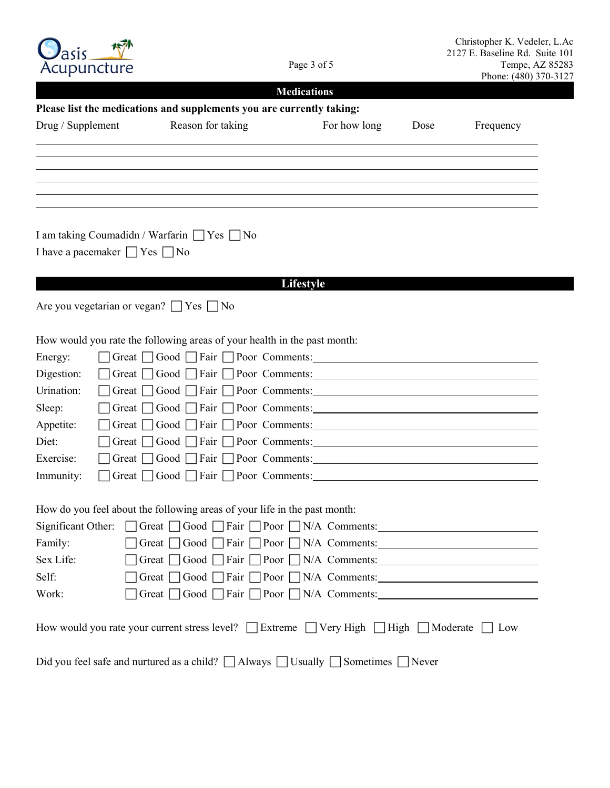| Acupuncture                                                                                      | Page 3 of 5                                                                                                          |                    | Christopher K. Vedeler, L.Ac<br>2127 E. Baseline Rd. Suite 101<br>Tempe, AZ 85283<br>Phone: (480) 370-3127 |           |
|--------------------------------------------------------------------------------------------------|----------------------------------------------------------------------------------------------------------------------|--------------------|------------------------------------------------------------------------------------------------------------|-----------|
|                                                                                                  |                                                                                                                      | <b>Medications</b> |                                                                                                            |           |
|                                                                                                  | Please list the medications and supplements you are currently taking:                                                |                    |                                                                                                            |           |
| Drug / Supplement                                                                                | Reason for taking                                                                                                    | For how long       | Dose                                                                                                       | Frequency |
|                                                                                                  |                                                                                                                      |                    |                                                                                                            |           |
|                                                                                                  |                                                                                                                      |                    |                                                                                                            |           |
|                                                                                                  |                                                                                                                      |                    |                                                                                                            |           |
|                                                                                                  |                                                                                                                      |                    |                                                                                                            |           |
| I am taking Coumadidn / Warfarin $\Box$ Yes $\Box$ No<br>I have a pacemaker $\Box$ Yes $\Box$ No |                                                                                                                      |                    |                                                                                                            |           |
|                                                                                                  |                                                                                                                      | <b>Lifestyle</b>   |                                                                                                            |           |
| Are you vegetarian or vegan? $\Box$ Yes $\Box$ No                                                |                                                                                                                      |                    |                                                                                                            |           |
|                                                                                                  |                                                                                                                      |                    |                                                                                                            |           |
|                                                                                                  | How would you rate the following areas of your health in the past month:                                             |                    |                                                                                                            |           |
| Energy:                                                                                          |                                                                                                                      |                    |                                                                                                            |           |
| Digestion:                                                                                       |                                                                                                                      |                    |                                                                                                            |           |
| Urination:<br>Great 1                                                                            |                                                                                                                      |                    |                                                                                                            |           |
| Sleep:<br>Great 1                                                                                | □ Good □ Fair [                                                                                                      | Poor Comments:     |                                                                                                            |           |
| Appetite:<br>Great $ $                                                                           | $Good \mid$<br>□ Fair                                                                                                | Poor Comments:     |                                                                                                            |           |
| Diet:<br>Great                                                                                   | $\Box$ Good $\Box$<br>□Fair                                                                                          | Poor Comments:     |                                                                                                            |           |
| Exercise:<br>Great $\vert$                                                                       | $\sqcap$ Good $\sqcap$<br>□Fair                                                                                      | Poor Comments:     |                                                                                                            |           |
| Immunity:<br>Great $\vert$                                                                       | Good Fair Poor Comments:                                                                                             |                    |                                                                                                            |           |
|                                                                                                  |                                                                                                                      |                    |                                                                                                            |           |
|                                                                                                  | How do you feel about the following areas of your life in the past month:                                            |                    |                                                                                                            |           |
|                                                                                                  | Significant Other: Great Good Fair Poor N/A Comments:                                                                |                    |                                                                                                            |           |
| Family:                                                                                          | Great $\bigcap$ Good $\bigcap$ Fair $\bigcap$ Poor $\bigcap$ N/A Comments:                                           |                    |                                                                                                            |           |
| Sex Life:                                                                                        |                                                                                                                      |                    |                                                                                                            |           |
| Self:                                                                                            |                                                                                                                      |                    |                                                                                                            |           |
| Work:                                                                                            | Great Good Fair Poor N/A Comments:                                                                                   |                    |                                                                                                            |           |
|                                                                                                  | How would you rate your current stress level? $\Box$ Extreme $\Box$ Very High $\Box$ High $\Box$ Moderate $\Box$ Low |                    |                                                                                                            |           |
|                                                                                                  | Did you feel safe and nurtured as a child? $\Box$ Always $\Box$ Usually $\Box$ Sometimes $\Box$ Never                |                    |                                                                                                            |           |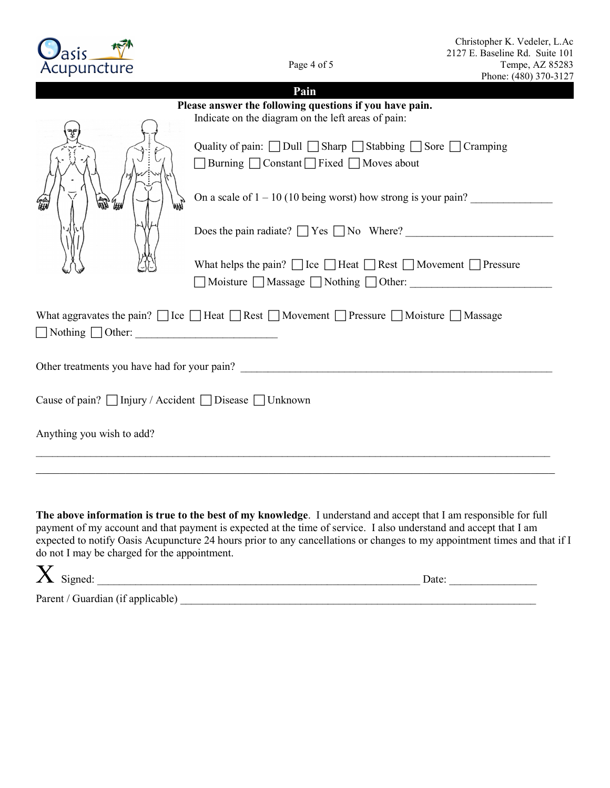| Christopher K. Vedeler, L.Ac   |
|--------------------------------|
| 2127 E. Baseline Rd. Suite 101 |
| Tempe, AZ 85283                |
| Phone: (480) 370-3127          |

Page 4 of 5

cic Acupuncture

|                                                         | Phone: (480) 370-31                                                                                                                |  |  |  |
|---------------------------------------------------------|------------------------------------------------------------------------------------------------------------------------------------|--|--|--|
|                                                         | Pain                                                                                                                               |  |  |  |
| Please answer the following questions if you have pain. |                                                                                                                                    |  |  |  |
|                                                         | Indicate on the diagram on the left areas of pain:                                                                                 |  |  |  |
|                                                         | Quality of pain: $\Box$ Dull $\Box$ Sharp $\Box$ Stabbing $\Box$ Sore $\Box$ Cramping<br>■ Burning ■ Constant Fixed ■ Moves about  |  |  |  |
|                                                         | On a scale of $1 - 10$ (10 being worst) how strong is your pain?                                                                   |  |  |  |
|                                                         | Does the pain radiate? $\Box$ Yes $\Box$ No Where?                                                                                 |  |  |  |
|                                                         | What helps the pain? $\Box$ Ice $\Box$ Heat $\Box$ Rest $\Box$ Movement $\Box$ Pressure<br>■ Moisture ■ Massage ■ Nothing ■ Other: |  |  |  |
|                                                         |                                                                                                                                    |  |  |  |
| $\Box$ Nothing $\Box$ Other:                            | What aggravates the pain? $\Box$ Ice $\Box$ Heat $\Box$ Rest $\Box$ Movement $\Box$ Pressure $\Box$ Moisture $\Box$ Massage        |  |  |  |
|                                                         |                                                                                                                                    |  |  |  |
| Cause of pain? □ Injury / Accident □ Disease □ Unknown  |                                                                                                                                    |  |  |  |
| Anything you wish to add?                               |                                                                                                                                    |  |  |  |
|                                                         |                                                                                                                                    |  |  |  |

The above information is true to the best of my knowledge. I understand and accept that I am responsible for full payment of my account and that payment is expected at the time of service. I also understand and accept that I am expected to notify Oasis Acupuncture 24 hours prior to any cancellations or changes to my appointment times and that if I do not I may be charged for the appointment.

| $\Lambda$ Signed:                 | Date: |
|-----------------------------------|-------|
| Parent / Guardian (if applicable) |       |